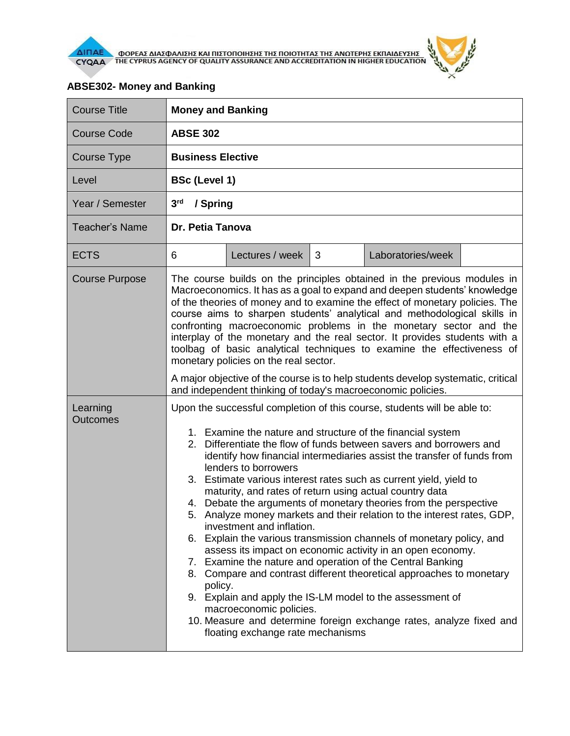

 $\theta$ 

| <b>Course Title</b>         | <b>Money and Banking</b>                                                                                                                                                                                                                                                                                                                                                                                                                                                                                                                                                                                                                                                                                                                                                                                                                                                                                                                                                                                                                                                                                                   |  |  |  |  |  |
|-----------------------------|----------------------------------------------------------------------------------------------------------------------------------------------------------------------------------------------------------------------------------------------------------------------------------------------------------------------------------------------------------------------------------------------------------------------------------------------------------------------------------------------------------------------------------------------------------------------------------------------------------------------------------------------------------------------------------------------------------------------------------------------------------------------------------------------------------------------------------------------------------------------------------------------------------------------------------------------------------------------------------------------------------------------------------------------------------------------------------------------------------------------------|--|--|--|--|--|
| <b>Course Code</b>          | <b>ABSE 302</b>                                                                                                                                                                                                                                                                                                                                                                                                                                                                                                                                                                                                                                                                                                                                                                                                                                                                                                                                                                                                                                                                                                            |  |  |  |  |  |
| Course Type                 | <b>Business Elective</b>                                                                                                                                                                                                                                                                                                                                                                                                                                                                                                                                                                                                                                                                                                                                                                                                                                                                                                                                                                                                                                                                                                   |  |  |  |  |  |
| Level                       | <b>BSc (Level 1)</b>                                                                                                                                                                                                                                                                                                                                                                                                                                                                                                                                                                                                                                                                                                                                                                                                                                                                                                                                                                                                                                                                                                       |  |  |  |  |  |
| Year / Semester             | 3 <sup>rd</sup><br>/ Spring                                                                                                                                                                                                                                                                                                                                                                                                                                                                                                                                                                                                                                                                                                                                                                                                                                                                                                                                                                                                                                                                                                |  |  |  |  |  |
| <b>Teacher's Name</b>       | Dr. Petia Tanova                                                                                                                                                                                                                                                                                                                                                                                                                                                                                                                                                                                                                                                                                                                                                                                                                                                                                                                                                                                                                                                                                                           |  |  |  |  |  |
| <b>ECTS</b>                 | Lectures / week<br>Laboratories/week<br>6<br>3                                                                                                                                                                                                                                                                                                                                                                                                                                                                                                                                                                                                                                                                                                                                                                                                                                                                                                                                                                                                                                                                             |  |  |  |  |  |
| <b>Course Purpose</b>       | The course builds on the principles obtained in the previous modules in<br>Macroeconomics. It has as a goal to expand and deepen students' knowledge<br>of the theories of money and to examine the effect of monetary policies. The<br>course aims to sharpen students' analytical and methodological skills in<br>confronting macroeconomic problems in the monetary sector and the<br>interplay of the monetary and the real sector. It provides students with a<br>toolbag of basic analytical techniques to examine the effectiveness of<br>monetary policies on the real sector.<br>A major objective of the course is to help students develop systematic, critical<br>and independent thinking of today's macroeconomic policies.                                                                                                                                                                                                                                                                                                                                                                                  |  |  |  |  |  |
| Learning<br><b>Outcomes</b> | Upon the successful completion of this course, students will be able to:<br>1. Examine the nature and structure of the financial system<br>2. Differentiate the flow of funds between savers and borrowers and<br>identify how financial intermediaries assist the transfer of funds from<br>lenders to borrowers<br>3. Estimate various interest rates such as current yield, yield to<br>maturity, and rates of return using actual country data<br>4. Debate the arguments of monetary theories from the perspective<br>5. Analyze money markets and their relation to the interest rates, GDP,<br>investment and inflation.<br>6. Explain the various transmission channels of monetary policy, and<br>assess its impact on economic activity in an open economy.<br>7. Examine the nature and operation of the Central Banking<br>8. Compare and contrast different theoretical approaches to monetary<br>policy.<br>9. Explain and apply the IS-LM model to the assessment of<br>macroeconomic policies.<br>10. Measure and determine foreign exchange rates, analyze fixed and<br>floating exchange rate mechanisms |  |  |  |  |  |

## **ABSE302- Money and Banking**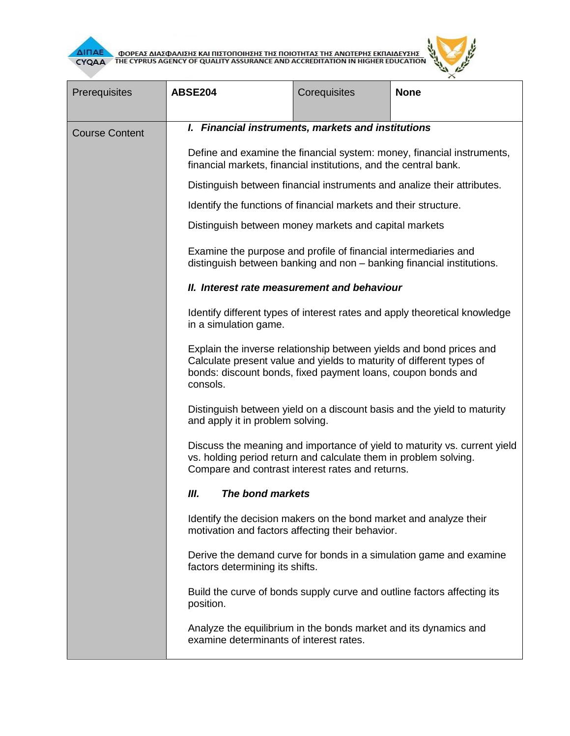



| Prerequisites         | <b>ABSE204</b>                                                                                                                                                                                                                                                                                               | Corequisites | <b>None</b>                                                             |  |  |  |
|-----------------------|--------------------------------------------------------------------------------------------------------------------------------------------------------------------------------------------------------------------------------------------------------------------------------------------------------------|--------------|-------------------------------------------------------------------------|--|--|--|
|                       |                                                                                                                                                                                                                                                                                                              |              |                                                                         |  |  |  |
| <b>Course Content</b> | I. Financial instruments, markets and institutions                                                                                                                                                                                                                                                           |              |                                                                         |  |  |  |
|                       | Define and examine the financial system: money, financial instruments,<br>financial markets, financial institutions, and the central bank.                                                                                                                                                                   |              |                                                                         |  |  |  |
|                       |                                                                                                                                                                                                                                                                                                              |              | Distinguish between financial instruments and analize their attributes. |  |  |  |
|                       | Identify the functions of financial markets and their structure.                                                                                                                                                                                                                                             |              |                                                                         |  |  |  |
|                       | Distinguish between money markets and capital markets                                                                                                                                                                                                                                                        |              |                                                                         |  |  |  |
|                       | Examine the purpose and profile of financial intermediaries and<br>distinguish between banking and non - banking financial institutions.                                                                                                                                                                     |              |                                                                         |  |  |  |
|                       | II. Interest rate measurement and behaviour                                                                                                                                                                                                                                                                  |              |                                                                         |  |  |  |
|                       | Identify different types of interest rates and apply theoretical knowledge<br>in a simulation game.                                                                                                                                                                                                          |              |                                                                         |  |  |  |
|                       | Explain the inverse relationship between yields and bond prices and<br>Calculate present value and yields to maturity of different types of<br>bonds: discount bonds, fixed payment loans, coupon bonds and<br>consols.                                                                                      |              |                                                                         |  |  |  |
|                       | Distinguish between yield on a discount basis and the yield to maturity<br>and apply it in problem solving.                                                                                                                                                                                                  |              |                                                                         |  |  |  |
|                       | Discuss the meaning and importance of yield to maturity vs. current yield<br>vs. holding period return and calculate them in problem solving.<br>Compare and contrast interest rates and returns.                                                                                                            |              |                                                                         |  |  |  |
|                       | Ш.<br>The bond markets                                                                                                                                                                                                                                                                                       |              |                                                                         |  |  |  |
|                       | Identify the decision makers on the bond market and analyze their<br>motivation and factors affecting their behavior.                                                                                                                                                                                        |              |                                                                         |  |  |  |
|                       | Derive the demand curve for bonds in a simulation game and examine<br>factors determining its shifts.<br>Build the curve of bonds supply curve and outline factors affecting its<br>position.<br>Analyze the equilibrium in the bonds market and its dynamics and<br>examine determinants of interest rates. |              |                                                                         |  |  |  |
|                       |                                                                                                                                                                                                                                                                                                              |              |                                                                         |  |  |  |
|                       |                                                                                                                                                                                                                                                                                                              |              |                                                                         |  |  |  |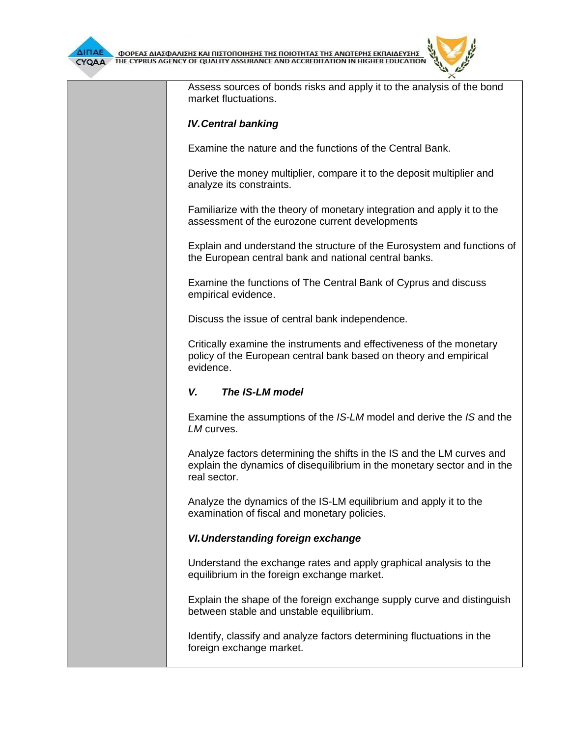



Assess sources of bonds risks and apply it to the analysis of the bond market fluctuations.

#### *IV.Central banking*

Examine the nature and the functions of the Central Bank.

Derive the money multiplier, compare it to the deposit multiplier and analyze its constraints.

Familiarize with the theory of monetary integration and apply it to the assessment of the eurozone current developments

Explain and understand the structure of the Eurosystem and functions of the European central bank and national central banks.

Examine the functions of The Central Bank of Cyprus and discuss empirical evidence.

Discuss the issue of central bank independence.

Critically examine the instruments and effectiveness of the monetary policy of the European central bank based on theory and empirical evidence.

#### *V. The IS-LM model*

Examine the assumptions of the *IS-LM* model and derive the *IS* and the *LM* curves.

Analyze factors determining the shifts in the IS and the LM curves and explain the dynamics of disequilibrium in the monetary sector and in the real sector.

Analyze the dynamics of the IS-LM equilibrium and apply it to the examination of fiscal and monetary policies.

#### *VI.Understanding foreign exchange*

Understand the exchange rates and apply graphical analysis to the equilibrium in the foreign exchange market.

Explain the shape of the foreign exchange supply curve and distinguish between stable and unstable equilibrium.

Identify, classify and analyze factors determining fluctuations in the foreign exchange market.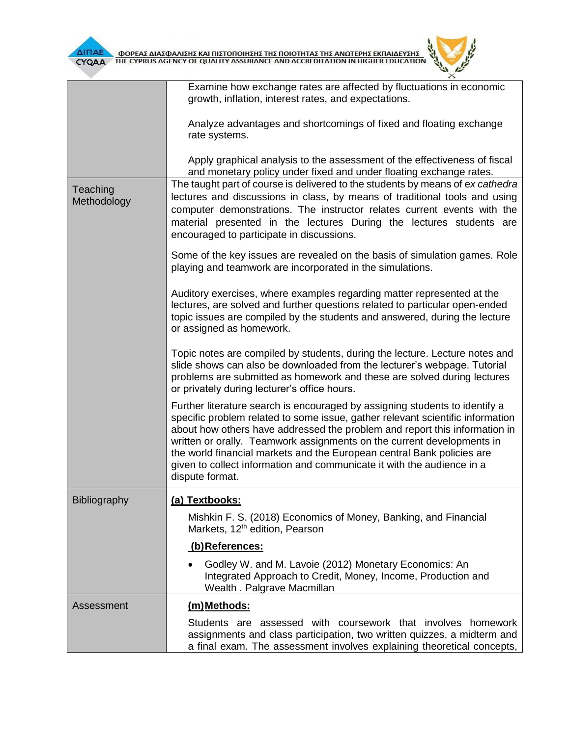